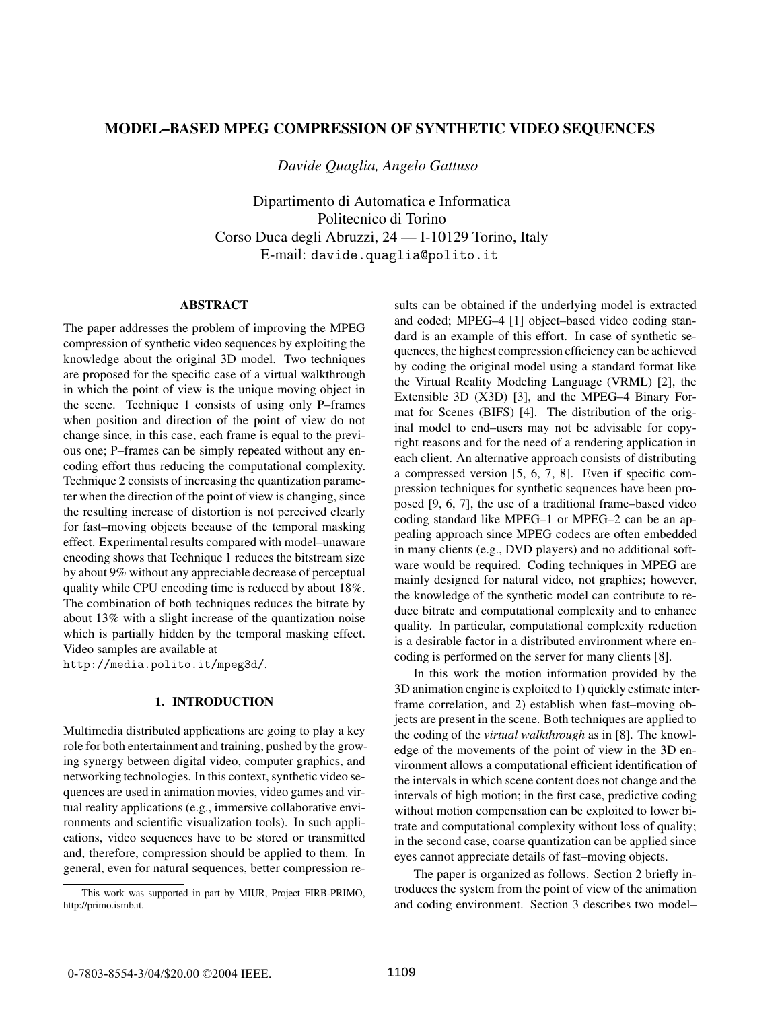# **MODEL–BASED MPEG COMPRESSION OF SYNTHETIC VIDEO SEQUENCES**

*Davide Quaglia, Angelo Gattuso*

Dipartimento di Automatica e Informatica Politecnico di Torino Corso Duca degli Abruzzi, 24 — I-10129 Torino, Italy E-mail: davide.quaglia@polito.it

#### **ABSTRACT**

The paper addresses the problem of improving the MPEG compression of synthetic video sequences by exploiting the knowledge about the original 3D model. Two techniques are proposed for the specific case of a virtual walkthrough in which the point of view is the unique moving object in the scene. Technique 1 consists of using only P–frames when position and direction of the point of view do not change since, in this case, each frame is equal to the previous one; P–frames can be simply repeated without any encoding effort thus reducing the computational complexity. Technique 2 consists of increasing the quantization parameter when the direction of the point of view is changing, since the resulting increase of distortion is not perceived clearly for fast–moving objects because of the temporal masking effect. Experimental results compared with model–unaware encoding shows that Technique 1 reduces the bitstream size by about 9% without any appreciable decrease of perceptual quality while CPU encoding time is reduced by about 18%. The combination of both techniques reduces the bitrate by about 13% with a slight increase of the quantization noise which is partially hidden by the temporal masking effect. Video samples are available at

http://media.polito.it/mpeg3d/.

### **1. INTRODUCTION**

Multimedia distributed applications are going to play a key role for both entertainment and training, pushed by the growing synergy between digital video, computer graphics, and networking technologies. In this context, synthetic video sequences are used in animation movies, video games and virtual reality applications (e.g., immersive collaborative environments and scientific visualization tools). In such applications, video sequences have to be stored or transmitted and, therefore, compression should be applied to them. In general, even for natural sequences, better compression re-

sults can be obtained if the underlying model is extracted and coded; MPEG–4 [1] object–based video coding standard is an example of this effort. In case of synthetic sequences, the highest compression efficiency can be achieved by coding the original model using a standard format like the Virtual Reality Modeling Language (VRML) [2], the Extensible 3D (X3D) [3], and the MPEG–4 Binary Format for Scenes (BIFS) [4]. The distribution of the original model to end–users may not be advisable for copyright reasons and for the need of a rendering application in each client. An alternative approach consists of distributing a compressed version [5, 6, 7, 8]. Even if specific compression techniques for synthetic sequences have been proposed [9, 6, 7], the use of a traditional frame–based video coding standard like MPEG–1 or MPEG–2 can be an appealing approach since MPEG codecs are often embedded in many clients (e.g., DVD players) and no additional software would be required. Coding techniques in MPEG are mainly designed for natural video, not graphics; however, the knowledge of the synthetic model can contribute to reduce bitrate and computational complexity and to enhance quality. In particular, computational complexity reduction is a desirable factor in a distributed environment where encoding is performed on the server for many clients [8].

In this work the motion information provided by the 3D animation engine is exploited to 1) quickly estimate interframe correlation, and 2) establish when fast–moving objects are present in the scene. Both techniques are applied to the coding of the *virtual walkthrough* as in [8]. The knowledge of the movements of the point of view in the 3D environment allows a computational efficient identification of the intervals in which scene content does not change and the intervals of high motion; in the first case, predictive coding without motion compensation can be exploited to lower bitrate and computational complexity without loss of quality; in the second case, coarse quantization can be applied since eyes cannot appreciate details of fast–moving objects.

The paper is organized as follows. Section 2 briefly introduces the system from the point of view of the animation and coding environment. Section 3 describes two model–

This work was supported in part by MIUR, Project FIRB-PRIMO, http://primo.ismb.it.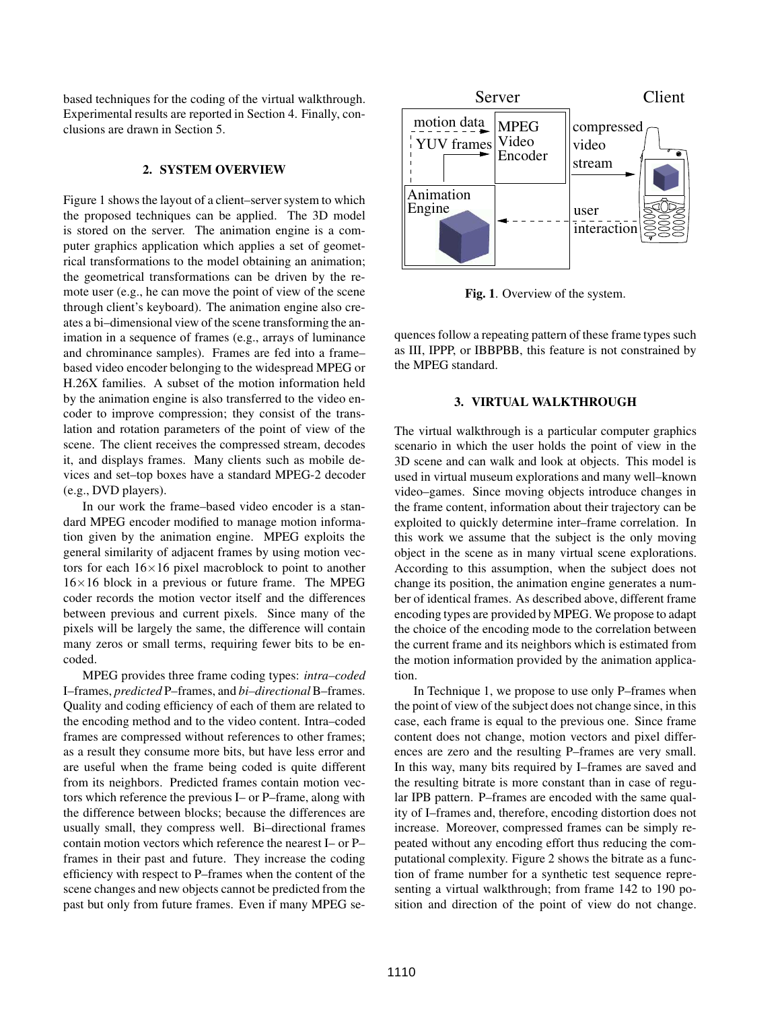based techniques for the coding of the virtual walkthrough. Experimental results are reported in Section 4. Finally, conclusions are drawn in Section 5.

### **2. SYSTEM OVERVIEW**

Figure 1 shows the layout of a client–server system to which the proposed techniques can be applied. The 3D model is stored on the server. The animation engine is a computer graphics application which applies a set of geometrical transformations to the model obtaining an animation; the geometrical transformations can be driven by the remote user (e.g., he can move the point of view of the scene through client's keyboard). The animation engine also creates a bi–dimensional view of the scene transforming the animation in a sequence of frames (e.g., arrays of luminance and chrominance samples). Frames are fed into a frame– based video encoder belonging to the widespread MPEG or H.26X families. A subset of the motion information held by the animation engine is also transferred to the video encoder to improve compression; they consist of the translation and rotation parameters of the point of view of the scene. The client receives the compressed stream, decodes it, and displays frames. Many clients such as mobile devices and set–top boxes have a standard MPEG-2 decoder (e.g., DVD players).

In our work the frame–based video encoder is a standard MPEG encoder modified to manage motion information given by the animation engine. MPEG exploits the general similarity of adjacent frames by using motion vectors for each  $16\times16$  pixel macroblock to point to another  $16\times16$  block in a previous or future frame. The MPEG coder records the motion vector itself and the differences between previous and current pixels. Since many of the pixels will be largely the same, the difference will contain many zeros or small terms, requiring fewer bits to be encoded.

MPEG provides three frame coding types: *intra–coded* I–frames, *predicted* P–frames, and *bi–directional*B–frames. Quality and coding efficiency of each of them are related to the encoding method and to the video content. Intra–coded frames are compressed without references to other frames; as a result they consume more bits, but have less error and are useful when the frame being coded is quite different from its neighbors. Predicted frames contain motion vectors which reference the previous I– or P–frame, along with the difference between blocks; because the differences are usually small, they compress well. Bi–directional frames contain motion vectors which reference the nearest I– or P– frames in their past and future. They increase the coding efficiency with respect to P–frames when the content of the scene changes and new objects cannot be predicted from the past but only from future frames. Even if many MPEG se-



**Fig. 1**. Overview of the system.

quences follow a repeating pattern of these frame types such as III, IPPP, or IBBPBB, this feature is not constrained by the MPEG standard.

### **3. VIRTUAL WALKTHROUGH**

The virtual walkthrough is a particular computer graphics scenario in which the user holds the point of view in the 3D scene and can walk and look at objects. This model is used in virtual museum explorations and many well–known video–games. Since moving objects introduce changes in the frame content, information about their trajectory can be exploited to quickly determine inter–frame correlation. In this work we assume that the subject is the only moving object in the scene as in many virtual scene explorations. According to this assumption, when the subject does not change its position, the animation engine generates a number of identical frames. As described above, different frame encoding types are provided by MPEG. We propose to adapt the choice of the encoding mode to the correlation between the current frame and its neighbors which is estimated from the motion information provided by the animation application.

In Technique 1, we propose to use only P–frames when the point of view of the subject does not change since, in this case, each frame is equal to the previous one. Since frame content does not change, motion vectors and pixel differences are zero and the resulting P–frames are very small. In this way, many bits required by I–frames are saved and the resulting bitrate is more constant than in case of regular IPB pattern. P–frames are encoded with the same quality of I–frames and, therefore, encoding distortion does not increase. Moreover, compressed frames can be simply repeated without any encoding effort thus reducing the computational complexity. Figure 2 shows the bitrate as a function of frame number for a synthetic test sequence representing a virtual walkthrough; from frame 142 to 190 position and direction of the point of view do not change.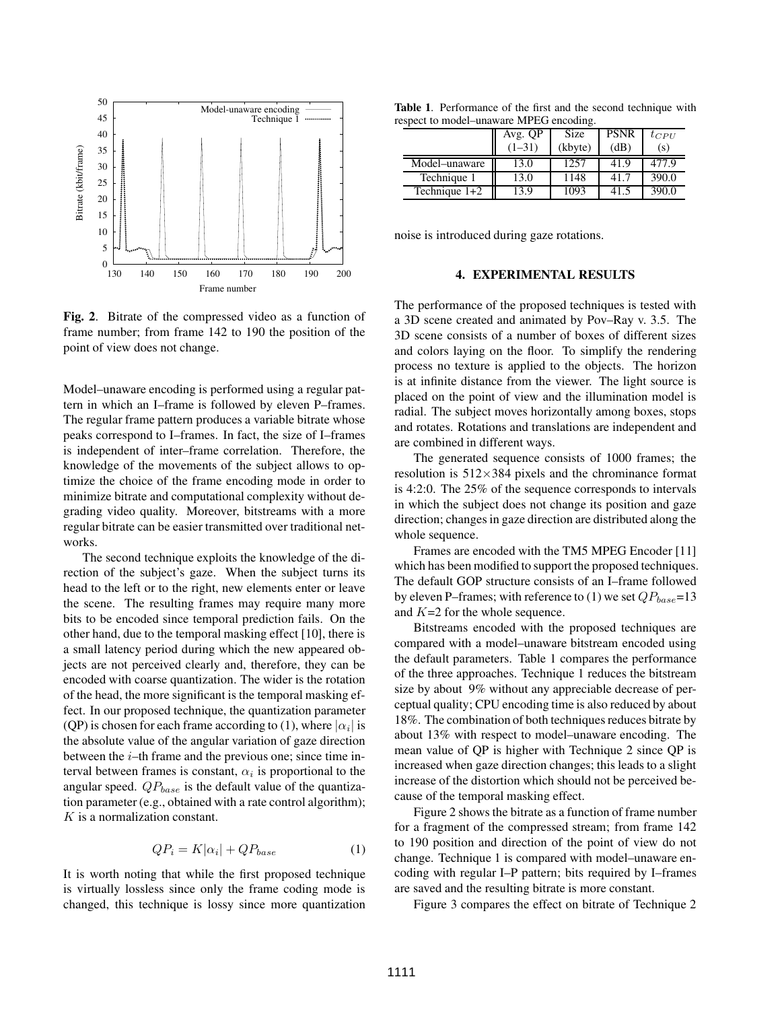

**Fig. 2**. Bitrate of the compressed video as a function of frame number; from frame 142 to 190 the position of the point of view does not change.

Model–unaware encoding is performed using a regular pattern in which an I–frame is followed by eleven P–frames. The regular frame pattern produces a variable bitrate whose peaks correspond to I–frames. In fact, the size of I–frames is independent of inter–frame correlation. Therefore, the knowledge of the movements of the subject allows to optimize the choice of the frame encoding mode in order to minimize bitrate and computational complexity without degrading video quality. Moreover, bitstreams with a more regular bitrate can be easier transmitted over traditional networks.

The second technique exploits the knowledge of the direction of the subject's gaze. When the subject turns its head to the left or to the right, new elements enter or leave the scene. The resulting frames may require many more bits to be encoded since temporal prediction fails. On the other hand, due to the temporal masking effect [10], there is a small latency period during which the new appeared objects are not perceived clearly and, therefore, they can be encoded with coarse quantization. The wider is the rotation of the head, the more significant is the temporal masking effect. In our proposed technique, the quantization parameter (QP) is chosen for each frame according to (1), where  $|\alpha_i|$  is the absolute value of the angular variation of gaze direction between the  $i$ –th frame and the previous one; since time interval between frames is constant,  $\alpha_i$  is proportional to the angular speed.  $QP_{base}$  is the default value of the quantization parameter (e.g., obtained with a rate control algorithm); K is a normalization constant.

$$
QP_i = K|\alpha_i| + QP_{base} \tag{1}
$$

It is worth noting that while the first proposed technique is virtually lossless since only the frame coding mode is changed, this technique is lossy since more quantization

**Table 1**. Performance of the first and the second technique with respect to model–unaware MPEG encoding.

|                 | Avg. QP  | Size    | <b>PSNR</b> | $t_{CPU}$ |
|-----------------|----------|---------|-------------|-----------|
|                 | $(1-31)$ | (kbyte) | (dB)        | (s)       |
| Model-unaware   | 13.0     | 1257    | 41.9        | 477.9     |
| Technique 1     | 13.0     | 1148    | 41.7        | 390.0     |
| Technique $1+2$ | 13.9     | 1093    |             | 390.0     |
|                 |          |         |             |           |

noise is introduced during gaze rotations.

### **4. EXPERIMENTAL RESULTS**

The performance of the proposed techniques is tested with a 3D scene created and animated by Pov–Ray v. 3.5. The 3D scene consists of a number of boxes of different sizes and colors laying on the floor. To simplify the rendering process no texture is applied to the objects. The horizon is at infinite distance from the viewer. The light source is placed on the point of view and the illumination model is radial. The subject moves horizontally among boxes, stops and rotates. Rotations and translations are independent and are combined in different ways.

The generated sequence consists of 1000 frames; the resolution is  $512\times384$  pixels and the chrominance format is 4:2:0. The 25% of the sequence corresponds to intervals in which the subject does not change its position and gaze direction; changes in gaze direction are distributed along the whole sequence.

Frames are encoded with the TM5 MPEG Encoder [11] which has been modified to support the proposed techniques. The default GOP structure consists of an I–frame followed by eleven P–frames; with reference to (1) we set  $QP_{base}=13$ and  $K=2$  for the whole sequence.

Bitstreams encoded with the proposed techniques are compared with a model–unaware bitstream encoded using the default parameters. Table 1 compares the performance of the three approaches. Technique 1 reduces the bitstream size by about 9% without any appreciable decrease of perceptual quality; CPU encoding time is also reduced by about 18%. The combination of both techniques reduces bitrate by about 13% with respect to model–unaware encoding. The mean value of QP is higher with Technique 2 since QP is increased when gaze direction changes; this leads to a slight increase of the distortion which should not be perceived because of the temporal masking effect.

Figure 2 shows the bitrate as a function of frame number for a fragment of the compressed stream; from frame 142 to 190 position and direction of the point of view do not change. Technique 1 is compared with model–unaware encoding with regular I–P pattern; bits required by I–frames are saved and the resulting bitrate is more constant.

Figure 3 compares the effect on bitrate of Technique 2